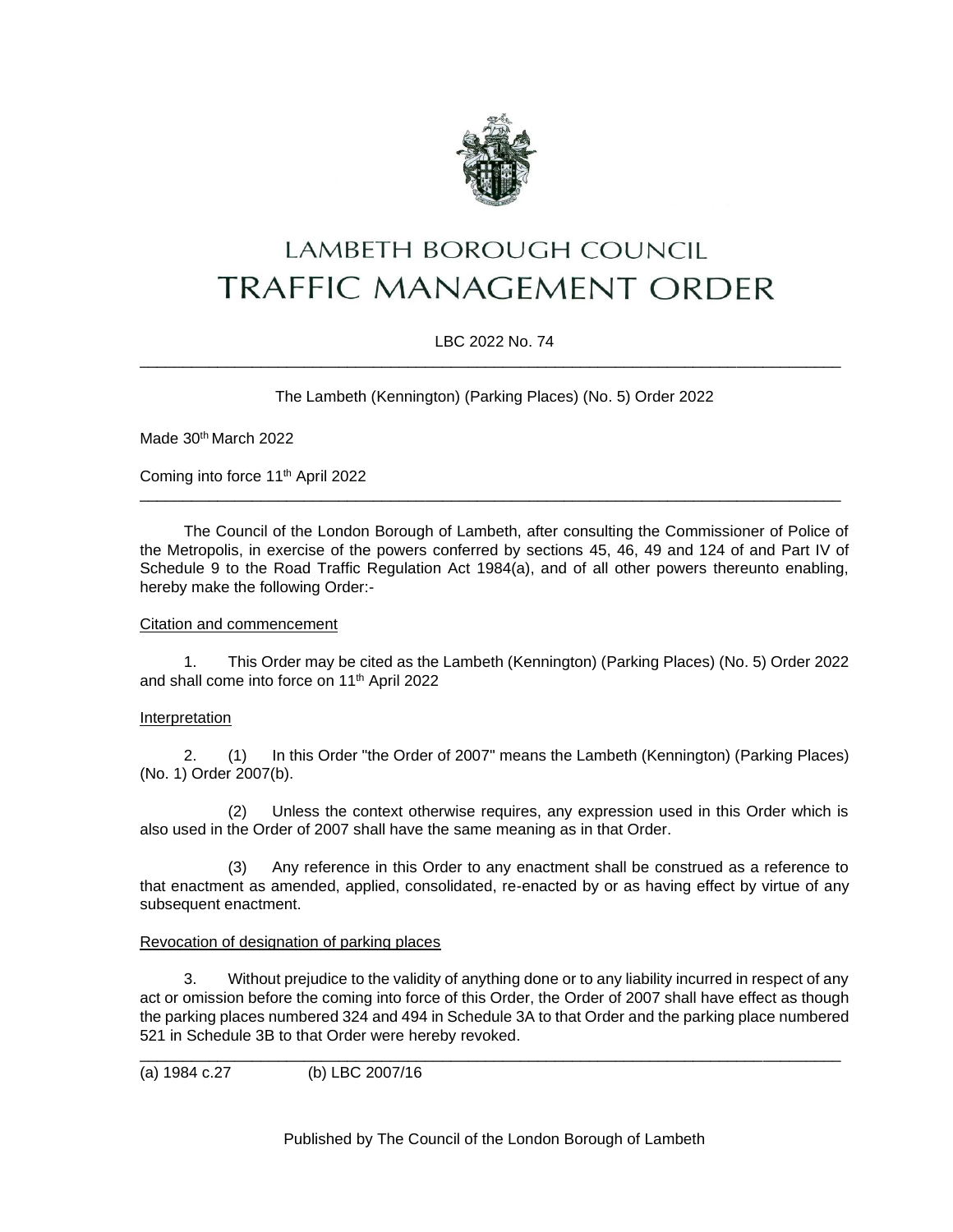

# LAMBETH BOROUGH COUNCIL **TRAFFIC MANAGEMENT ORDER**

# LBC 2022 No. 74 \_\_\_\_\_\_\_\_\_\_\_\_\_\_\_\_\_\_\_\_\_\_\_\_\_\_\_\_\_\_\_\_\_\_\_\_\_\_\_\_\_\_\_\_\_\_\_\_\_\_\_\_\_\_\_\_\_\_\_\_\_\_\_\_\_\_\_\_\_\_\_\_\_\_\_\_\_\_\_\_\_

The Lambeth (Kennington) (Parking Places) (No. 5) Order 2022

Made 30<sup>th</sup> March 2022

Coming into force 11th April 2022

The Council of the London Borough of Lambeth, after consulting the Commissioner of Police of the Metropolis, in exercise of the powers conferred by sections 45, 46, 49 and 124 of and Part IV of Schedule 9 to the Road Traffic Regulation Act 1984(a), and of all other powers thereunto enabling, hereby make the following Order:-

\_\_\_\_\_\_\_\_\_\_\_\_\_\_\_\_\_\_\_\_\_\_\_\_\_\_\_\_\_\_\_\_\_\_\_\_\_\_\_\_\_\_\_\_\_\_\_\_\_\_\_\_\_\_\_\_\_\_\_\_\_\_\_\_\_\_\_\_\_\_\_\_\_\_\_\_\_\_\_\_\_

## Citation and commencement

1. This Order may be cited as the Lambeth (Kennington) (Parking Places) (No. 5) Order 2022 and shall come into force on 11<sup>th</sup> April 2022

#### Interpretation

2. (1) In this Order "the Order of 2007" means the Lambeth (Kennington) (Parking Places) (No. 1) Order 2007(b).

(2) Unless the context otherwise requires, any expression used in this Order which is also used in the Order of 2007 shall have the same meaning as in that Order.

(3) Any reference in this Order to any enactment shall be construed as a reference to that enactment as amended, applied, consolidated, re-enacted by or as having effect by virtue of any subsequent enactment.

# Revocation of designation of parking places

3. Without prejudice to the validity of anything done or to any liability incurred in respect of any act or omission before the coming into force of this Order, the Order of 2007 shall have effect as though the parking places numbered 324 and 494 in Schedule 3A to that Order and the parking place numbered 521 in Schedule 3B to that Order were hereby revoked.

\_\_\_\_\_\_\_\_\_\_\_\_\_\_\_\_\_\_\_\_\_\_\_\_\_\_\_\_\_\_\_\_\_\_\_\_\_\_\_\_\_\_\_\_\_\_\_\_\_\_\_\_\_\_\_\_\_\_\_\_\_\_\_\_\_\_\_\_\_\_\_\_\_\_\_\_\_\_\_\_\_

(a) 1984 c.27 (b) LBC 2007/16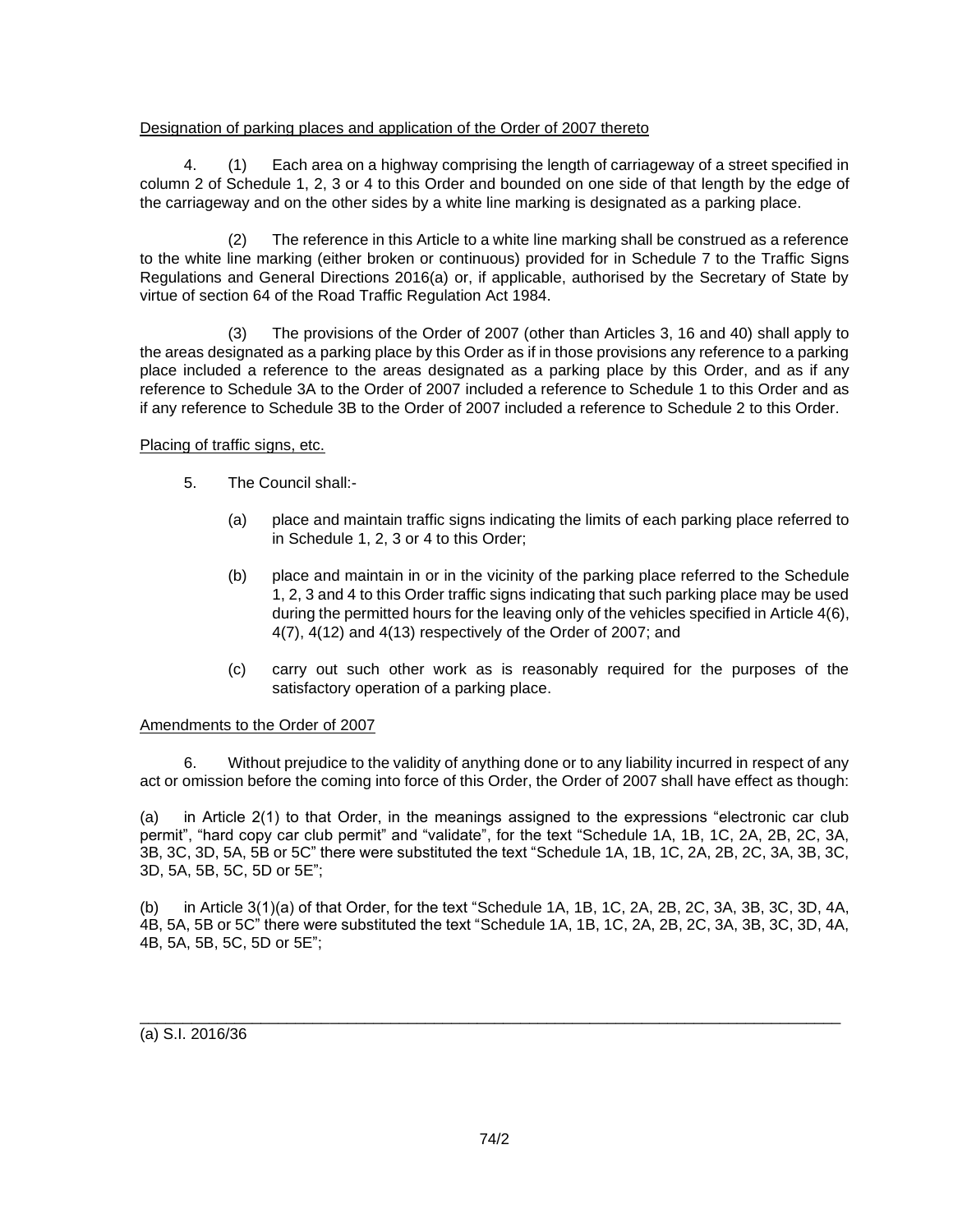# Designation of parking places and application of the Order of 2007 thereto

4. (1) Each area on a highway comprising the length of carriageway of a street specified in column 2 of Schedule 1, 2, 3 or 4 to this Order and bounded on one side of that length by the edge of the carriageway and on the other sides by a white line marking is designated as a parking place.

(2) The reference in this Article to a white line marking shall be construed as a reference to the white line marking (either broken or continuous) provided for in Schedule 7 to the Traffic Signs Regulations and General Directions 2016(a) or, if applicable, authorised by the Secretary of State by virtue of section 64 of the Road Traffic Regulation Act 1984.

(3) The provisions of the Order of 2007 (other than Articles 3, 16 and 40) shall apply to the areas designated as a parking place by this Order as if in those provisions any reference to a parking place included a reference to the areas designated as a parking place by this Order, and as if any reference to Schedule 3A to the Order of 2007 included a reference to Schedule 1 to this Order and as if any reference to Schedule 3B to the Order of 2007 included a reference to Schedule 2 to this Order.

# Placing of traffic signs, etc.

- 5. The Council shall:-
	- (a) place and maintain traffic signs indicating the limits of each parking place referred to in Schedule 1, 2, 3 or 4 to this Order;
	- (b) place and maintain in or in the vicinity of the parking place referred to the Schedule 1, 2, 3 and 4 to this Order traffic signs indicating that such parking place may be used during the permitted hours for the leaving only of the vehicles specified in Article 4(6), 4(7), 4(12) and 4(13) respectively of the Order of 2007; and
	- (c) carry out such other work as is reasonably required for the purposes of the satisfactory operation of a parking place.

#### Amendments to the Order of 2007

6. Without prejudice to the validity of anything done or to any liability incurred in respect of any act or omission before the coming into force of this Order, the Order of 2007 shall have effect as though:

(a) in Article 2(1) to that Order, in the meanings assigned to the expressions "electronic car club permit", "hard copy car club permit" and "validate", for the text "Schedule 1A, 1B, 1C, 2A, 2B, 2C, 3A, 3B, 3C, 3D, 5A, 5B or 5C" there were substituted the text "Schedule 1A, 1B, 1C, 2A, 2B, 2C, 3A, 3B, 3C, 3D, 5A, 5B, 5C, 5D or 5E";

(b) in Article 3(1)(a) of that Order, for the text "Schedule 1A, 1B, 1C, 2A, 2B, 2C, 3A, 3B, 3C, 3D, 4A, 4B, 5A, 5B or 5C" there were substituted the text "Schedule 1A, 1B, 1C, 2A, 2B, 2C, 3A, 3B, 3C, 3D, 4A, 4B, 5A, 5B, 5C, 5D or 5E";

\_\_\_\_\_\_\_\_\_\_\_\_\_\_\_\_\_\_\_\_\_\_\_\_\_\_\_\_\_\_\_\_\_\_\_\_\_\_\_\_\_\_\_\_\_\_\_\_\_\_\_\_\_\_\_\_\_\_\_\_\_\_\_\_\_\_\_\_\_\_\_\_\_\_\_\_\_\_\_\_\_

(a) S.I. 2016/36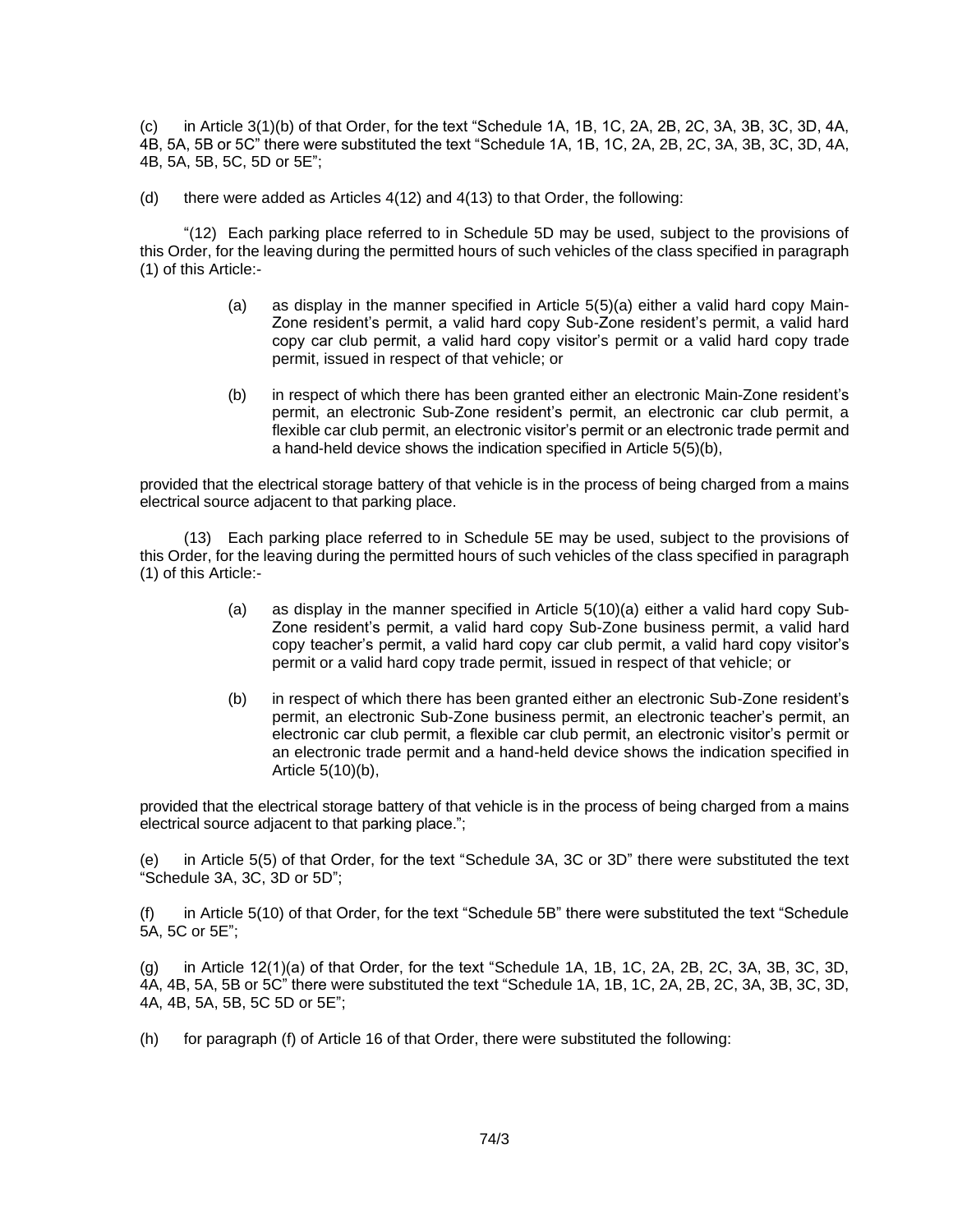(c) in Article 3(1)(b) of that Order, for the text "Schedule 1A, 1B, 1C, 2A, 2B, 2C, 3A, 3B, 3C, 3D, 4A, 4B, 5A, 5B or 5C" there were substituted the text "Schedule 1A, 1B, 1C, 2A, 2B, 2C, 3A, 3B, 3C, 3D, 4A, 4B, 5A, 5B, 5C, 5D or 5E";

(d) there were added as Articles 4(12) and 4(13) to that Order, the following:

"(12) Each parking place referred to in Schedule 5D may be used, subject to the provisions of this Order, for the leaving during the permitted hours of such vehicles of the class specified in paragraph (1) of this Article:-

- (a) as display in the manner specified in Article  $5(5)(a)$  either a valid hard copy Main-Zone resident's permit, a valid hard copy Sub-Zone resident's permit, a valid hard copy car club permit, a valid hard copy visitor's permit or a valid hard copy trade permit, issued in respect of that vehicle; or
- (b) in respect of which there has been granted either an electronic Main-Zone resident's permit, an electronic Sub-Zone resident's permit, an electronic car club permit, a flexible car club permit, an electronic visitor's permit or an electronic trade permit and a hand-held device shows the indication specified in Article 5(5)(b),

provided that the electrical storage battery of that vehicle is in the process of being charged from a mains electrical source adjacent to that parking place.

(13) Each parking place referred to in Schedule 5E may be used, subject to the provisions of this Order, for the leaving during the permitted hours of such vehicles of the class specified in paragraph (1) of this Article:-

- (a) as display in the manner specified in Article 5(10)(a) either a valid hard copy Sub-Zone resident's permit, a valid hard copy Sub-Zone business permit, a valid hard copy teacher's permit, a valid hard copy car club permit, a valid hard copy visitor's permit or a valid hard copy trade permit, issued in respect of that vehicle; or
- (b) in respect of which there has been granted either an electronic Sub-Zone resident's permit, an electronic Sub-Zone business permit, an electronic teacher's permit, an electronic car club permit, a flexible car club permit, an electronic visitor's permit or an electronic trade permit and a hand-held device shows the indication specified in Article 5(10)(b),

provided that the electrical storage battery of that vehicle is in the process of being charged from a mains electrical source adjacent to that parking place.";

(e) in Article 5(5) of that Order, for the text "Schedule 3A, 3C or 3D" there were substituted the text "Schedule 3A, 3C, 3D or 5D";

(f) in Article 5(10) of that Order, for the text "Schedule 5B" there were substituted the text "Schedule 5A, 5C or 5E";

(g) in Article 12(1)(a) of that Order, for the text "Schedule 1A, 1B, 1C, 2A, 2B, 2C, 3A, 3B, 3C, 3D, 4A, 4B, 5A, 5B or 5C" there were substituted the text "Schedule 1A, 1B, 1C, 2A, 2B, 2C, 3A, 3B, 3C, 3D, 4A, 4B, 5A, 5B, 5C 5D or 5E";

(h) for paragraph (f) of Article 16 of that Order, there were substituted the following: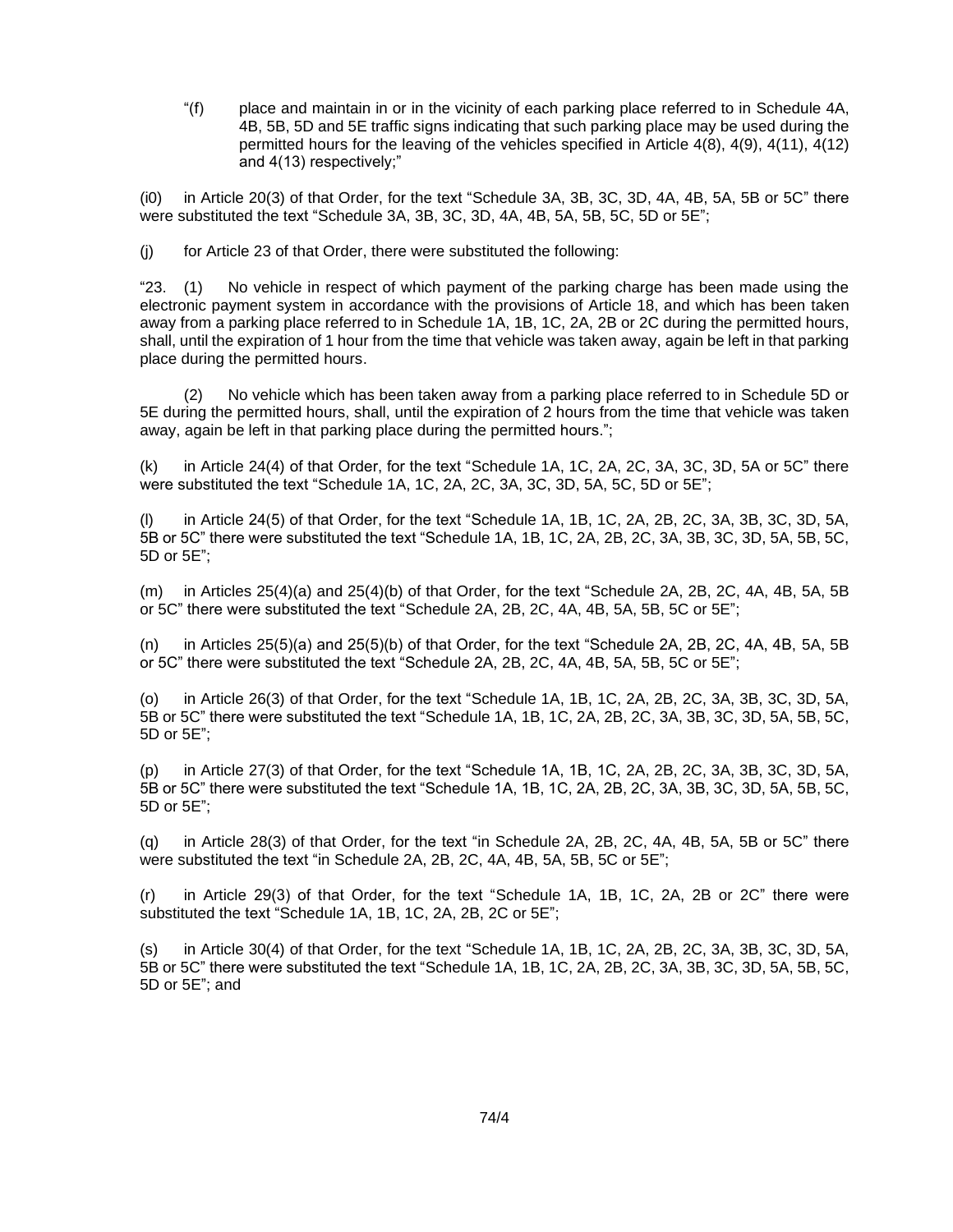"(f) place and maintain in or in the vicinity of each parking place referred to in Schedule 4A, 4B, 5B, 5D and 5E traffic signs indicating that such parking place may be used during the permitted hours for the leaving of the vehicles specified in Article 4(8), 4(9), 4(11), 4(12) and 4(13) respectively;"

(i0) in Article 20(3) of that Order, for the text "Schedule 3A, 3B, 3C, 3D, 4A, 4B, 5A, 5B or 5C" there were substituted the text "Schedule 3A, 3B, 3C, 3D, 4A, 4B, 5A, 5B, 5C, 5D or 5E";

(j) for Article 23 of that Order, there were substituted the following:

"23. (1) No vehicle in respect of which payment of the parking charge has been made using the electronic payment system in accordance with the provisions of Article 18, and which has been taken away from a parking place referred to in Schedule 1A, 1B, 1C, 2A, 2B or 2C during the permitted hours, shall, until the expiration of 1 hour from the time that vehicle was taken away, again be left in that parking place during the permitted hours.

(2) No vehicle which has been taken away from a parking place referred to in Schedule 5D or 5E during the permitted hours, shall, until the expiration of 2 hours from the time that vehicle was taken away, again be left in that parking place during the permitted hours.";

(k) in Article 24(4) of that Order, for the text "Schedule 1A, 1C, 2A, 2C, 3A, 3C, 3D, 5A or 5C" there were substituted the text "Schedule 1A, 1C, 2A, 2C, 3A, 3C, 3D, 5A, 5C, 5D or 5E";

(l) in Article 24(5) of that Order, for the text "Schedule 1A, 1B, 1C, 2A, 2B, 2C, 3A, 3B, 3C, 3D, 5A, 5B or 5C" there were substituted the text "Schedule 1A, 1B, 1C, 2A, 2B, 2C, 3A, 3B, 3C, 3D, 5A, 5B, 5C, 5D or 5E";

(m) in Articles 25(4)(a) and 25(4)(b) of that Order, for the text "Schedule 2A, 2B, 2C, 4A, 4B, 5A, 5B or 5C" there were substituted the text "Schedule 2A, 2B, 2C, 4A, 4B, 5A, 5B, 5C or 5E";

(n) in Articles 25(5)(a) and 25(5)(b) of that Order, for the text "Schedule 2A, 2B, 2C, 4A, 4B, 5A, 5B or 5C" there were substituted the text "Schedule 2A, 2B, 2C, 4A, 4B, 5A, 5B, 5C or 5E";

(o) in Article 26(3) of that Order, for the text "Schedule 1A, 1B, 1C, 2A, 2B, 2C, 3A, 3B, 3C, 3D, 5A, 5B or 5C" there were substituted the text "Schedule 1A, 1B, 1C, 2A, 2B, 2C, 3A, 3B, 3C, 3D, 5A, 5B, 5C, 5D or 5E";

(p) in Article 27(3) of that Order, for the text "Schedule 1A, 1B, 1C, 2A, 2B, 2C, 3A, 3B, 3C, 3D, 5A, 5B or 5C" there were substituted the text "Schedule 1A, 1B, 1C, 2A, 2B, 2C, 3A, 3B, 3C, 3D, 5A, 5B, 5C, 5D or 5E";

(q) in Article 28(3) of that Order, for the text "in Schedule 2A, 2B, 2C, 4A, 4B, 5A, 5B or 5C" there were substituted the text "in Schedule 2A, 2B, 2C, 4A, 4B, 5A, 5B, 5C or 5E";

(r) in Article 29(3) of that Order, for the text "Schedule 1A, 1B, 1C, 2A, 2B or 2C" there were substituted the text "Schedule 1A, 1B, 1C, 2A, 2B, 2C or 5E";

(s) in Article 30(4) of that Order, for the text "Schedule 1A, 1B, 1C, 2A, 2B, 2C, 3A, 3B, 3C, 3D, 5A, 5B or 5C" there were substituted the text "Schedule 1A, 1B, 1C, 2A, 2B, 2C, 3A, 3B, 3C, 3D, 5A, 5B, 5C, 5D or 5E"; and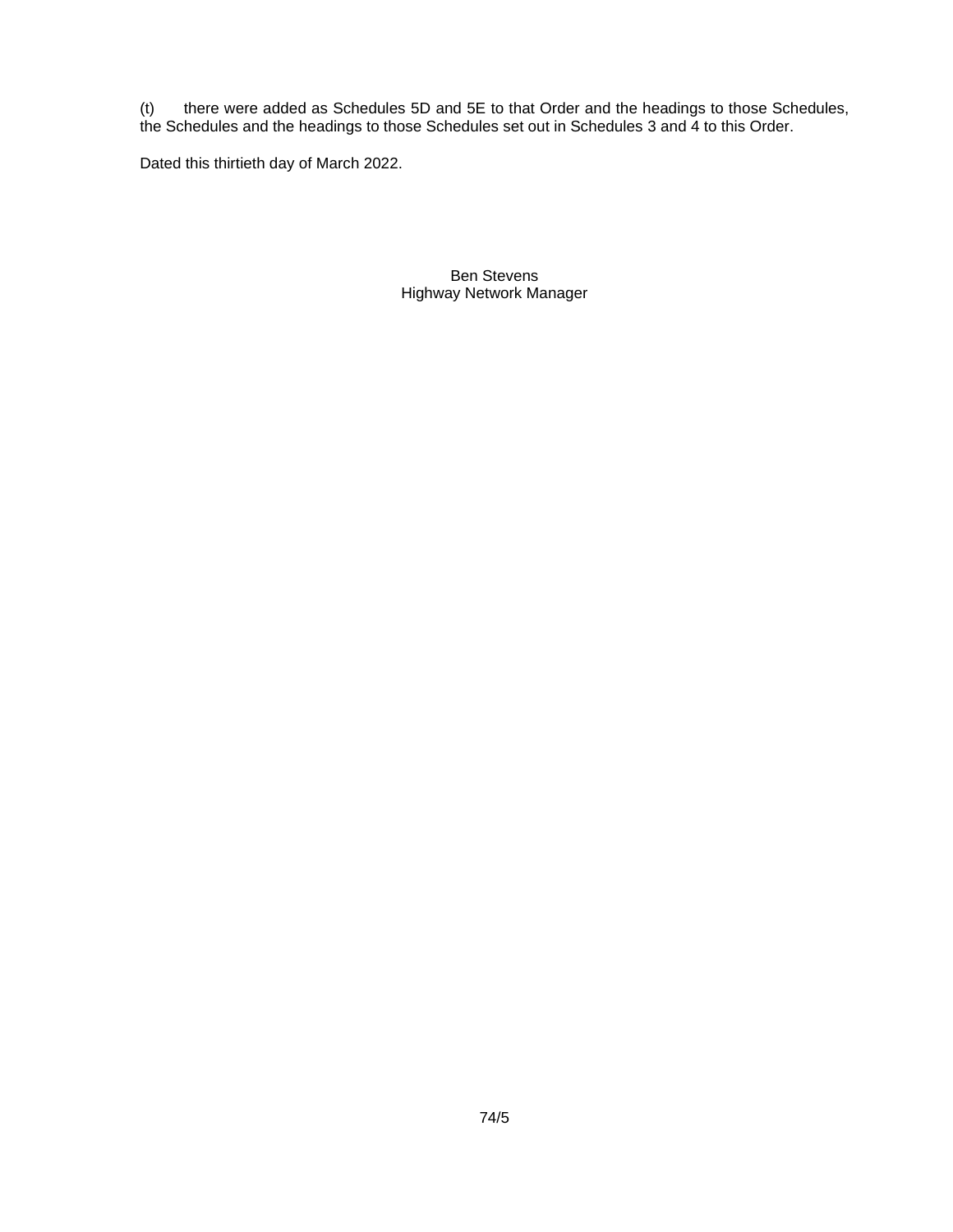(t) there were added as Schedules 5D and 5E to that Order and the headings to those Schedules, the Schedules and the headings to those Schedules set out in Schedules 3 and 4 to this Order.

Dated this thirtieth day of March 2022.

Ben Stevens Highway Network Manager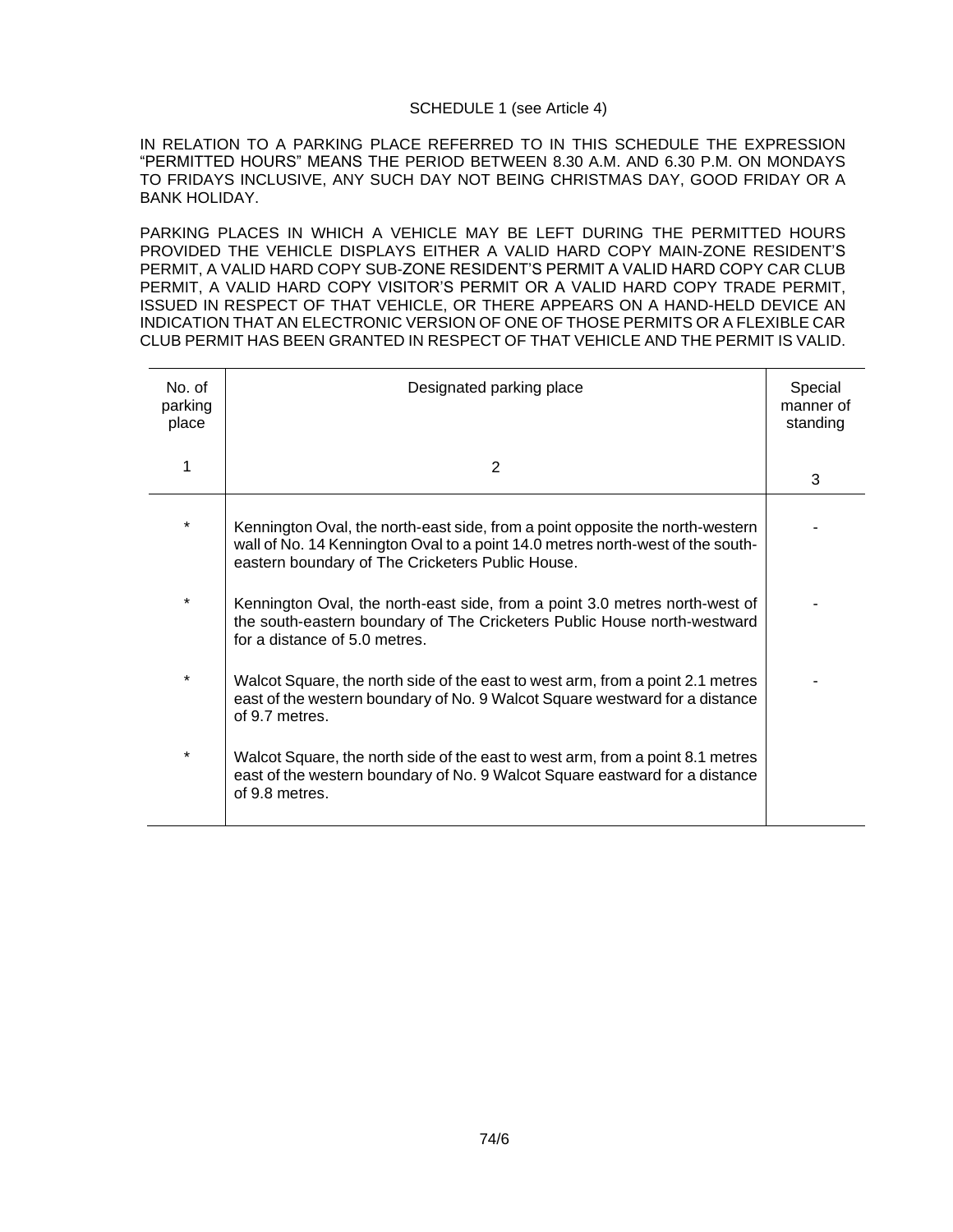## SCHEDULE 1 (see Article 4)

IN RELATION TO A PARKING PLACE REFERRED TO IN THIS SCHEDULE THE EXPRESSION "PERMITTED HOURS" MEANS THE PERIOD BETWEEN 8.30 A.M. AND 6.30 P.M. ON MONDAYS TO FRIDAYS INCLUSIVE, ANY SUCH DAY NOT BEING CHRISTMAS DAY, GOOD FRIDAY OR A BANK HOLIDAY.

PARKING PLACES IN WHICH A VEHICLE MAY BE LEFT DURING THE PERMITTED HOURS PROVIDED THE VEHICLE DISPLAYS EITHER A VALID HARD COPY MAIN-ZONE RESIDENT'S PERMIT, A VALID HARD COPY SUB-ZONE RESIDENT'S PERMIT A VALID HARD COPY CAR CLUB PERMIT, A VALID HARD COPY VISITOR'S PERMIT OR A VALID HARD COPY TRADE PERMIT, ISSUED IN RESPECT OF THAT VEHICLE, OR THERE APPEARS ON A HAND-HELD DEVICE AN INDICATION THAT AN ELECTRONIC VERSION OF ONE OF THOSE PERMITS OR A FLEXIBLE CAR CLUB PERMIT HAS BEEN GRANTED IN RESPECT OF THAT VEHICLE AND THE PERMIT IS VALID.

| No. of<br>parking<br>place | Designated parking place                                                                                                                                                                                            | Special<br>manner of<br>standing |
|----------------------------|---------------------------------------------------------------------------------------------------------------------------------------------------------------------------------------------------------------------|----------------------------------|
|                            | 2                                                                                                                                                                                                                   | 3                                |
| $\star$                    | Kennington Oval, the north-east side, from a point opposite the north-western<br>wall of No. 14 Kennington Oval to a point 14.0 metres north-west of the south-<br>eastern boundary of The Cricketers Public House. |                                  |
| $\star$                    | Kennington Oval, the north-east side, from a point 3.0 metres north-west of<br>the south-eastern boundary of The Cricketers Public House north-westward<br>for a distance of 5.0 metres.                            |                                  |
| $\star$                    | Walcot Square, the north side of the east to west arm, from a point 2.1 metres<br>east of the western boundary of No. 9 Walcot Square westward for a distance<br>of 9.7 metres.                                     |                                  |
| $\star$                    | Walcot Square, the north side of the east to west arm, from a point 8.1 metres<br>east of the western boundary of No. 9 Walcot Square eastward for a distance<br>of 9.8 metres.                                     |                                  |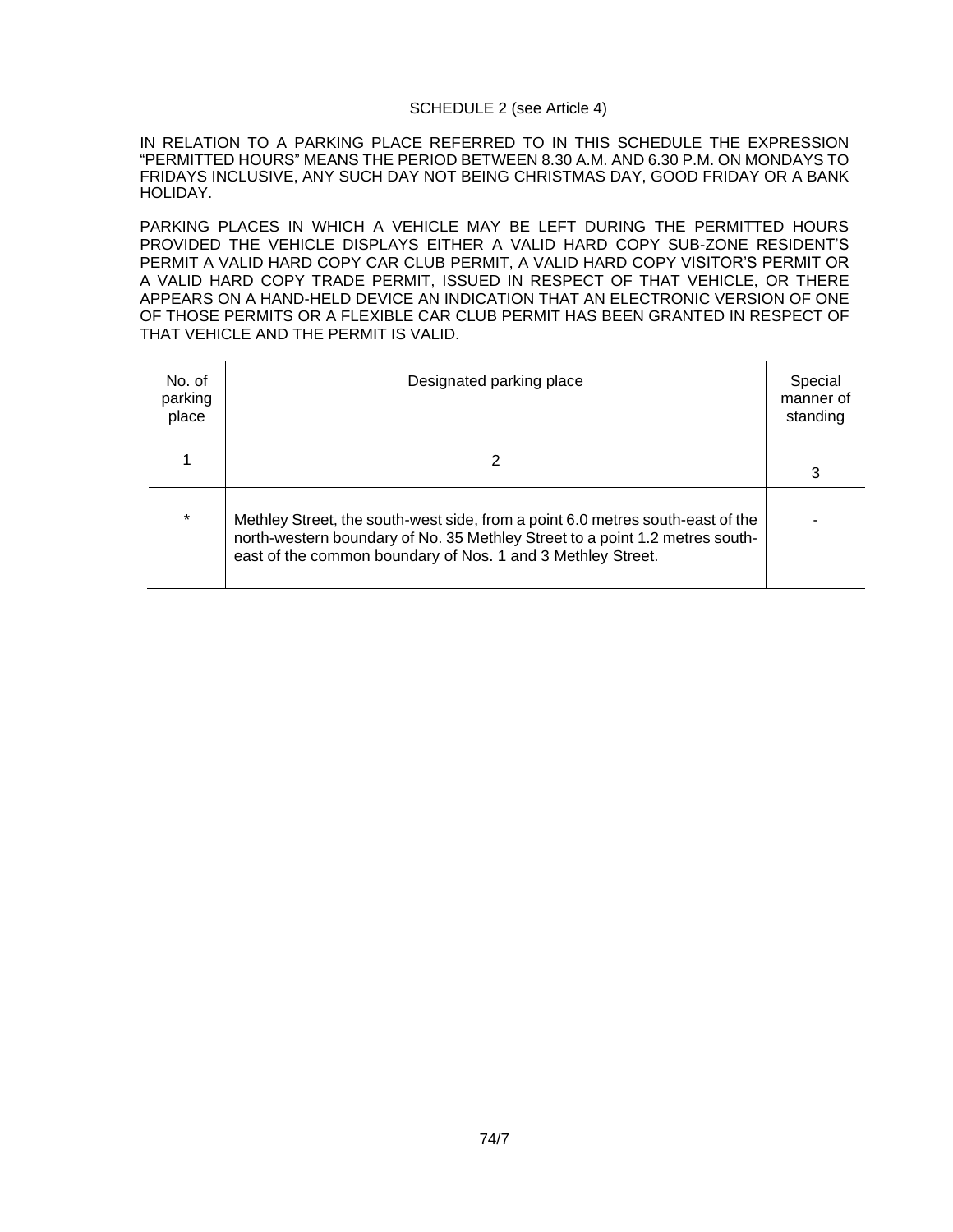#### SCHEDULE 2 (see Article 4)

IN RELATION TO A PARKING PLACE REFERRED TO IN THIS SCHEDULE THE EXPRESSION "PERMITTED HOURS" MEANS THE PERIOD BETWEEN 8.30 A.M. AND 6.30 P.M. ON MONDAYS TO FRIDAYS INCLUSIVE, ANY SUCH DAY NOT BEING CHRISTMAS DAY, GOOD FRIDAY OR A BANK HOLIDAY.

PARKING PLACES IN WHICH A VEHICLE MAY BE LEFT DURING THE PERMITTED HOURS PROVIDED THE VEHICLE DISPLAYS EITHER A VALID HARD COPY SUB-ZONE RESIDENT'S PERMIT A VALID HARD COPY CAR CLUB PERMIT, A VALID HARD COPY VISITOR'S PERMIT OR A VALID HARD COPY TRADE PERMIT, ISSUED IN RESPECT OF THAT VEHICLE, OR THERE APPEARS ON A HAND-HELD DEVICE AN INDICATION THAT AN ELECTRONIC VERSION OF ONE OF THOSE PERMITS OR A FLEXIBLE CAR CLUB PERMIT HAS BEEN GRANTED IN RESPECT OF THAT VEHICLE AND THE PERMIT IS VALID.

| No. of<br>parking<br>place | Designated parking place                                                                                                                                                                                                      | Special<br>manner of<br>standing |
|----------------------------|-------------------------------------------------------------------------------------------------------------------------------------------------------------------------------------------------------------------------------|----------------------------------|
|                            |                                                                                                                                                                                                                               | 3                                |
| $\star$                    | Methley Street, the south-west side, from a point 6.0 metres south-east of the<br>north-western boundary of No. 35 Methley Street to a point 1.2 metres south-<br>east of the common boundary of Nos. 1 and 3 Methley Street. |                                  |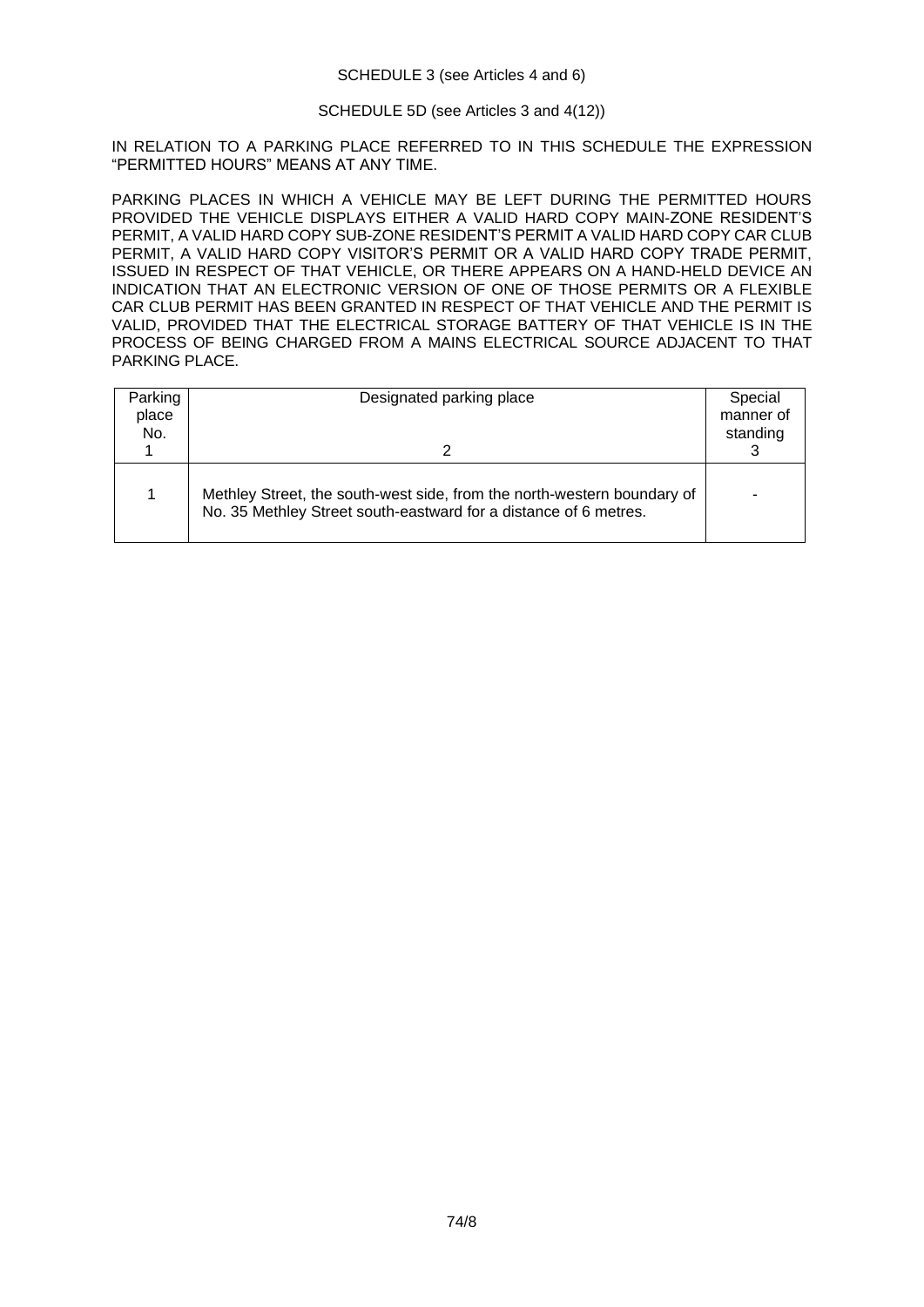#### SCHEDULE 3 (see Articles 4 and 6)

## SCHEDULE 5D (see Articles 3 and 4(12))

IN RELATION TO A PARKING PLACE REFERRED TO IN THIS SCHEDULE THE EXPRESSION "PERMITTED HOURS" MEANS AT ANY TIME.

PARKING PLACES IN WHICH A VEHICLE MAY BE LEFT DURING THE PERMITTED HOURS PROVIDED THE VEHICLE DISPLAYS EITHER A VALID HARD COPY MAIN-ZONE RESIDENT'S PERMIT, A VALID HARD COPY SUB-ZONE RESIDENT'S PERMIT A VALID HARD COPY CAR CLUB PERMIT, A VALID HARD COPY VISITOR'S PERMIT OR A VALID HARD COPY TRADE PERMIT, ISSUED IN RESPECT OF THAT VEHICLE, OR THERE APPEARS ON A HAND-HELD DEVICE AN INDICATION THAT AN ELECTRONIC VERSION OF ONE OF THOSE PERMITS OR A FLEXIBLE CAR CLUB PERMIT HAS BEEN GRANTED IN RESPECT OF THAT VEHICLE AND THE PERMIT IS VALID, PROVIDED THAT THE ELECTRICAL STORAGE BATTERY OF THAT VEHICLE IS IN THE PROCESS OF BEING CHARGED FROM A MAINS ELECTRICAL SOURCE ADJACENT TO THAT PARKING PLACE.

| Parking<br>place<br>No. | Designated parking place                                                                                                                    | Special<br>manner of<br>standing |
|-------------------------|---------------------------------------------------------------------------------------------------------------------------------------------|----------------------------------|
|                         | Methley Street, the south-west side, from the north-western boundary of<br>No. 35 Methley Street south-eastward for a distance of 6 metres. |                                  |